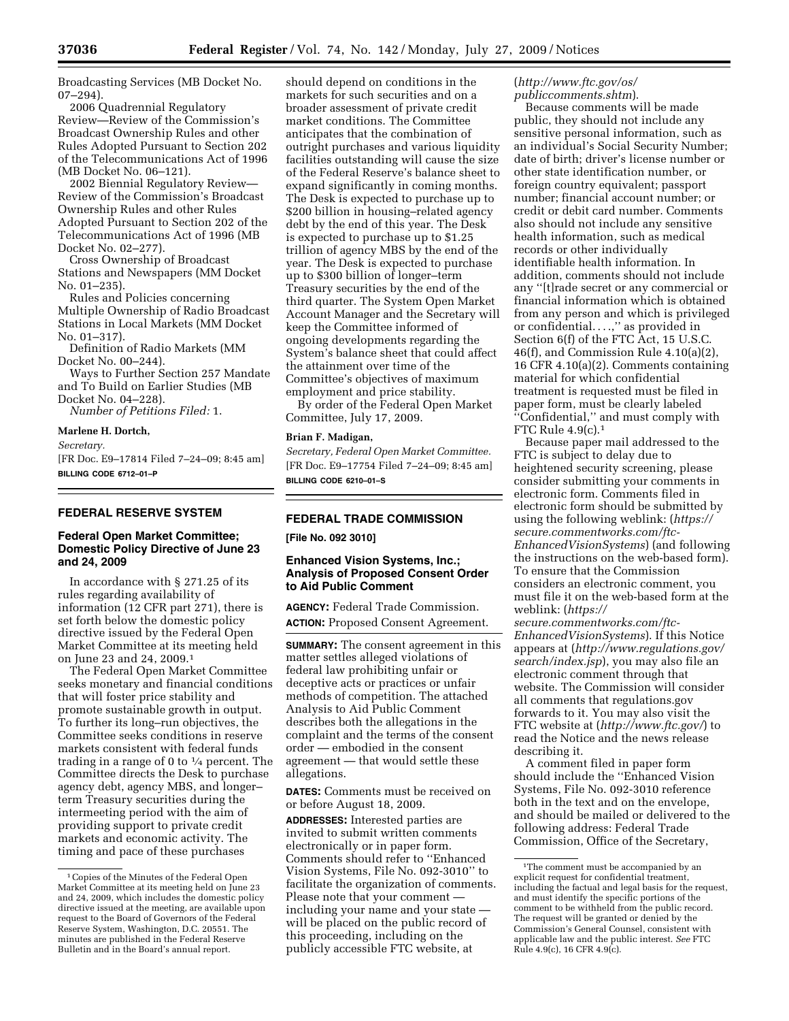Broadcasting Services (MB Docket No. 07–294).

2006 Quadrennial Regulatory Review—Review of the Commission's Broadcast Ownership Rules and other Rules Adopted Pursuant to Section 202 of the Telecommunications Act of 1996 (MB Docket No. 06–121).

2002 Biennial Regulatory Review— Review of the Commission's Broadcast Ownership Rules and other Rules Adopted Pursuant to Section 202 of the Telecommunications Act of 1996 (MB Docket No. 02–277).

Cross Ownership of Broadcast Stations and Newspapers (MM Docket No. 01–235).

Rules and Policies concerning Multiple Ownership of Radio Broadcast Stations in Local Markets (MM Docket No. 01–317).

Definition of Radio Markets (MM Docket No. 00–244).

Ways to Further Section 257 Mandate and To Build on Earlier Studies (MB Docket No. 04–228).

*Number of Petitions Filed:* 1.

#### **Marlene H. Dortch,**

*Secretary.* 

[FR Doc. E9–17814 Filed 7–24–09; 8:45 am] **BILLING CODE 6712–01–P** 

### **FEDERAL RESERVE SYSTEM**

### **Federal Open Market Committee; Domestic Policy Directive of June 23 and 24, 2009**

In accordance with § 271.25 of its rules regarding availability of information (12 CFR part 271), there is set forth below the domestic policy directive issued by the Federal Open Market Committee at its meeting held on June 23 and 24, 2009.1

The Federal Open Market Committee seeks monetary and financial conditions that will foster price stability and promote sustainable growth in output. To further its long–run objectives, the Committee seeks conditions in reserve markets consistent with federal funds trading in a range of 0 to  $\frac{1}{4}$  percent. The Committee directs the Desk to purchase agency debt, agency MBS, and longer– term Treasury securities during the intermeeting period with the aim of providing support to private credit markets and economic activity. The timing and pace of these purchases

should depend on conditions in the markets for such securities and on a broader assessment of private credit market conditions. The Committee anticipates that the combination of outright purchases and various liquidity facilities outstanding will cause the size of the Federal Reserve's balance sheet to expand significantly in coming months. The Desk is expected to purchase up to \$200 billion in housing–related agency debt by the end of this year. The Desk is expected to purchase up to \$1.25 trillion of agency MBS by the end of the year. The Desk is expected to purchase up to \$300 billion of longer–term Treasury securities by the end of the third quarter. The System Open Market Account Manager and the Secretary will keep the Committee informed of ongoing developments regarding the System's balance sheet that could affect the attainment over time of the Committee's objectives of maximum employment and price stability.

By order of the Federal Open Market Committee, July 17, 2009.

### **Brian F. Madigan,**

*Secretary, Federal Open Market Committee.*  [FR Doc. E9–17754 Filed 7–24–09; 8:45 am] **BILLING CODE 6210–01–S** 

# **FEDERAL TRADE COMMISSION**

**[File No. 092 3010]** 

## **Enhanced Vision Systems, Inc.; Analysis of Proposed Consent Order to Aid Public Comment**

**AGENCY:** Federal Trade Commission. **ACTION:** Proposed Consent Agreement.

**SUMMARY:** The consent agreement in this matter settles alleged violations of federal law prohibiting unfair or deceptive acts or practices or unfair methods of competition. The attached Analysis to Aid Public Comment describes both the allegations in the complaint and the terms of the consent order — embodied in the consent agreement — that would settle these allegations.

**DATES:** Comments must be received on or before August 18, 2009.

**ADDRESSES:** Interested parties are invited to submit written comments electronically or in paper form. Comments should refer to ''Enhanced Vision Systems, File No. 092-3010'' to facilitate the organization of comments. Please note that your comment including your name and your state will be placed on the public record of this proceeding, including on the publicly accessible FTC website, at

(*http://www.ftc.gov/os/ publiccomments.shtm*).

Because comments will be made public, they should not include any sensitive personal information, such as an individual's Social Security Number; date of birth; driver's license number or other state identification number, or foreign country equivalent; passport number; financial account number; or credit or debit card number. Comments also should not include any sensitive health information, such as medical records or other individually identifiable health information. In addition, comments should not include any ''[t]rade secret or any commercial or financial information which is obtained from any person and which is privileged or confidential. . . .,'' as provided in Section 6(f) of the FTC Act, 15 U.S.C. 46(f), and Commission Rule 4.10(a)(2), 16 CFR 4.10(a)(2). Comments containing material for which confidential treatment is requested must be filed in paper form, must be clearly labeled ''Confidential,'' and must comply with FTC Rule 4.9(c).1

Because paper mail addressed to the FTC is subject to delay due to heightened security screening, please consider submitting your comments in electronic form. Comments filed in electronic form should be submitted by using the following weblink: (*https:// secure.commentworks.com/ftc-EnhancedVisionSystems*) (and following the instructions on the web-based form). To ensure that the Commission considers an electronic comment, you must file it on the web-based form at the weblink: (*https://* 

*secure.commentworks.com/ftc-EnhancedVisionSystems*). If this Notice appears at (*http://www.regulations.gov/ search/index.jsp*), you may also file an electronic comment through that website. The Commission will consider all comments that regulations.gov forwards to it. You may also visit the FTC website at (*http://www.ftc.gov/*) to read the Notice and the news release describing it.

A comment filed in paper form should include the ''Enhanced Vision Systems, File No. 092-3010 reference both in the text and on the envelope, and should be mailed or delivered to the following address: Federal Trade Commission, Office of the Secretary,

<sup>&</sup>lt;sup>1</sup> Copies of the Minutes of the Federal Open Market Committee at its meeting held on June 23 and 24, 2009, which includes the domestic policy directive issued at the meeting, are available upon request to the Board of Governors of the Federal Reserve System, Washington, D.C. 20551. The minutes are published in the Federal Reserve Bulletin and in the Board's annual report.

<sup>1</sup>The comment must be accompanied by an explicit request for confidential treatment, including the factual and legal basis for the request, and must identify the specific portions of the comment to be withheld from the public record. The request will be granted or denied by the Commission's General Counsel, consistent with applicable law and the public interest. *See* FTC Rule 4.9(c), 16 CFR 4.9(c).